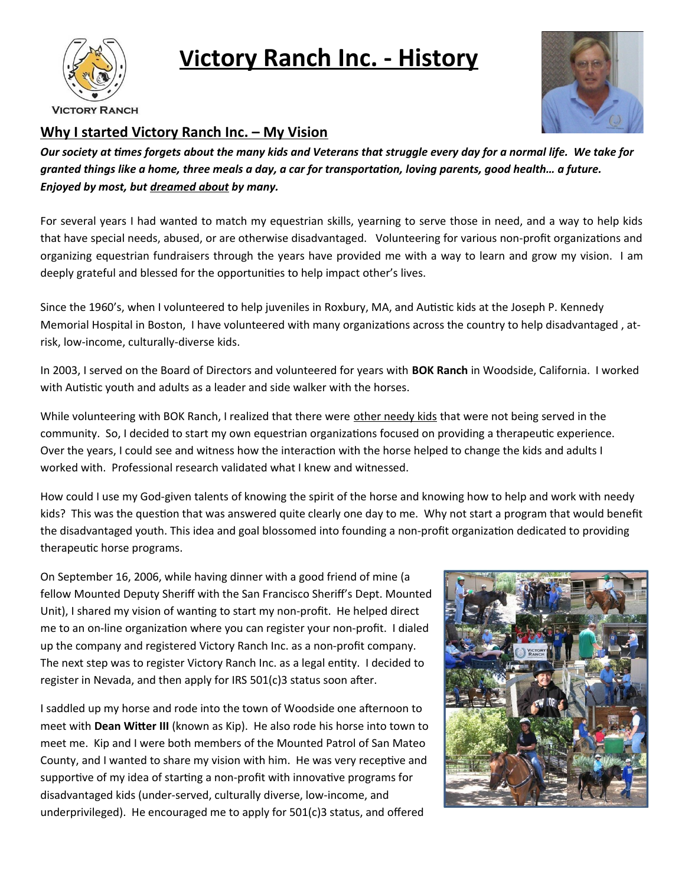

## **Vi ctory Ranch Inc. - History**



**VICTORY RANCH** 

## **Why I started Victory Ranch Inc. – My Vision**

*Our society at times forgets about the many kids and Veterans that struggle every day for a normal life. We take for granted things like a home, three meals a day, a car for transportation, loving parents, good health… a future. Enjoyed by most, but dreamed about by many.*

For several years I had wanted to match my equestrian skills, yearning to serve those in need, and a way to help kids that have special needs, abused, or are otherwise disadvantaged. Volunteering for various non-profit organizations and organizing equestrian fundraisers through the years have provided me with a way to learn and grow my vision. I am deeply grateful and blessed for the opportunities to help impact other's lives.

Since the 1960's, when I volunteered to help juveniles in Roxbury, MA, and Autistic kids at the Joseph P. Kennedy Memorial Hospital in Boston, I have volunteered with many organizations across the country to help disadvantaged , atrisk, low-income, culturally-diverse kids.

In 2003, I served on the Board of Directors and volunteered for years with **BOK Ranch** in Woodside, California. I worked with Autistic youth and adults as a leader and side walker with the horses.

While volunteering with BOK Ranch, I realized that there were other needy kids that were not being served in the community. So, I decided to start my own equestrian organizations focused on providing a therapeutic experience. Over the years, I could see and witness how the interaction with the horse helped to change the kids and adults I worked with. Professional research validated what I knew and witnessed.

How could I use my God-given talents of knowing the spirit of the horse and knowing how to help and work with needy kids? This was the question that was answered quite clearly one day to me. Why not start a program that would benefit the disadvantaged youth. This idea and goal blossomed into founding a non-profit organization dedicated to providing therapeutic horse programs.

On September 16, 2006, while having dinner with a good friend of mine (a fellow Mounted Deputy Sheriff with the San Francisco Sheriff's Dept. Mounted Unit), I shared my vision of wanting to start my non-profit. He helped direct me to an on-line organization where you can register your non-profit. I dialed up the company and registered Victory Ranch Inc. as a non-profit company. The next step was to register Victory Ranch Inc. as a legal entity. I decided to register in Nevada, and then apply for IRS 501(c)3 status soon after.

I saddled up my horse and rode into the town of Woodside one afternoon to meet with **Dean Witter III** (known as Kip). He also rode his horse into town to meet me. Kip and I were both members of the Mounted Patrol of San Mateo County, and I wanted to share my vision with him. He was very receptive and supportive of my idea of starting a non-profit with innovative programs for disadvantaged kids (under-served, culturally diverse, low-income, and underprivileged). He encouraged me to apply for 501(c)3 status, and offered